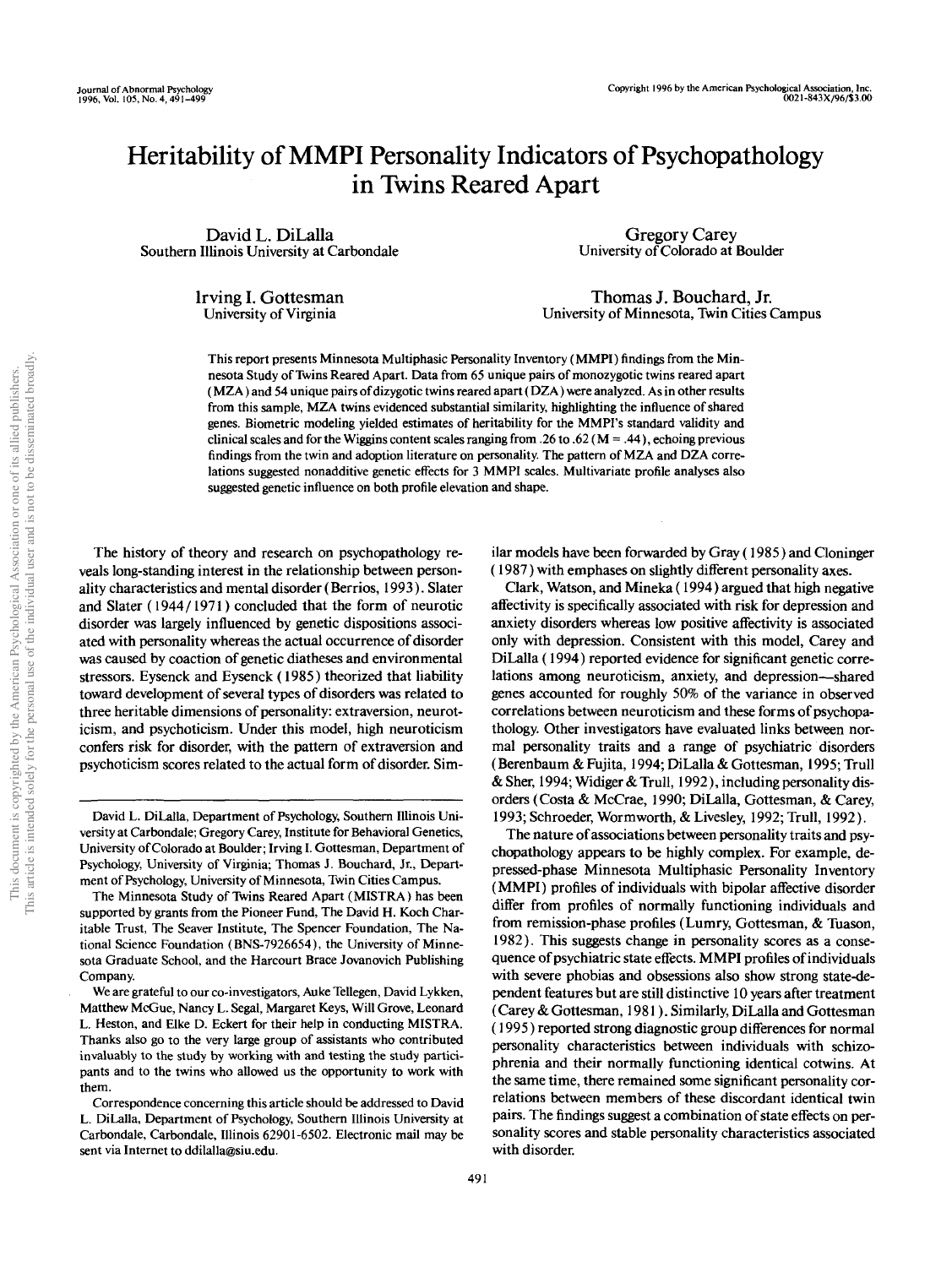# Heritability of MMPI Personality Indicators of Psychopathology in Twins Reared Apart

David L. DiLalla Southern Illinois University at Carbondale

Gregory Carey University of Colorado at Boulder

Irving I. Gottesman University of Virginia

Thomas J. Bouchard, Jr. University of Minnesota, Twin Cities Campus

This report presents Minnesota Multiphasic Personality Inventory (MMPI) findings from the Minnesota Study of Twins Reared Apart. Data from 65 unique pairs of monozygotic twins reared apart (MZA) and 54 unique pairs of dizygotic twins reared apart (DZA) were analyzed. As in other results from this sample, MZA twins evidenced substantial similarity, highlighting the influence of shared genes. Biometric modeling yielded estimates of heritability for the MMPI's standard validity and clinical scales and for the Wiggins content scales ranging from .26 to .62 ( $M = .44$ ), echoing previous findings from the twin and adoption literature on personality. The pattern of MZA and DZA correlations suggested nonadditive genetic effects for 3 MMPI scales. Multivariate profile analyses also suggested genetic influence on both profile elevation and shape.

The history of theory and research on psychopathology reveals long-standing interest in the relationship between personality characteristics and mental disorder (Berrios, 1993). Slater and Slater (1944/1971) concluded that the form of neurotic disorder was largely influenced by genetic dispositions associated with personality whereas the actual occurrence of disorder was caused by coaction of genetic diatheses and environmental stressors. Eysenck and Eysenck (1985) theorized that liability toward development of several types of disorders was related to three heritable dimensions of personality: extraversion, neuroticism, and psychoticism. Under this model, high neuroticism confers risk for disorder, with the pattern of extraversion and psychoticism scores related to the actual form of disorder. Similar models have been forwarded by Gray (1985) and Cloninger (1987) with emphases on slightly different personality axes.

Clark, Watson, and Mineka (1994) argued that high negative affectivity is specifically associated with risk for depression and anxiety disorders whereas low positive affectivity is associated only with depression. Consistent with this model, Carey and DiLalla (1994) reported evidence for significant genetic correlations among neuroticism, anxiety, and depression—shared genes accounted for roughly 50% of the variance in observed correlations between neuroticism and these forms of psychopathology. Other investigators have evaluated links between normal personality traits and a range of psychiatric disorders (Berenbaum & Fujita, 1994; DiLalla & Gottesman, 1995; Trull &Sher, 1994; Widiger& Trull, 1992), including personality disorders (Costa & McCrae, 1990; DiLalla, Gottesman, & Carey, 1993; Schroeder, Wormworth, & Livesley, 1992; Trull, 1992).

The nature of associations between personality traits and psychopathology appears to be highly complex. For example, depressed-phase Minnesota Multiphasic Personality Inventory (MMPI) profiles of individuals with bipolar affective disorder differ from profiles of normally functioning individuals and from remission-phase profiles (Lumry, Gottesman, & Tuason, 1982). This suggests change in personality scores as a consequence of psychiatric state effects. MMPI profiles of individuals with severe phobias and obsessions also show strong state-dependent features but are still distinctive 10 years after treatment (Carey & Gottesman, 1981). Similarly, DiLalla and Gottesman (1995) reported strong diagnostic group differences for normal personality characteristics between individuals with schizophrenia and their normally functioning identical cotwins. At the same time, there remained some significant personality correlations between members of these discordant identical twin pairs. The findings suggest a combination of state effects on personality scores and stable personality characteristics associated with disorder.

David L. DiLalla, Department of Psychology, Southern Illinois University at Carbondale; Gregory Carey, Institute for Behavioral Genetics, University of Colorado at Boulder; Irving I. Gottesman, Department of Psychology, University of Virginia; Thomas J. Bouchard, Jr., Department of Psychology, University of Minnesota, Twin Cities Campus.

The Minnesota Study of Twins Reared Apart (MISTRA) has been supported by grants from the Pioneer Fund, The David H. Koch Charitable Trust, The Seaver Institute, The Spencer Foundation, The National Science Foundation (BNS-7926654), the University of Minnesota Graduate School, and the Harcourt Brace Jovanovich Publishing Company.

We are grateful to our co-investigators, Auke Tellegen, David Lykken, Matthew McGue, Nancy L. Segal, Margaret Keys, Will Grove, Leonard L. Heston, and Elke D. Eckert for their help in conducting MISTRA. Thanks also go to the very large group of assistants who contributed invaluably to the study by working with and testing the study participants and to the twins who allowed us the opportunity to work with them.

Correspondence concerning this article should be addressed to David L. DiLalla, Department of Psychology, Southern Illinois University at Carbondale, Carbondale, Illinois 62901-6502. Electronic mail may be sent via Internet to ddilalla@siu.edu.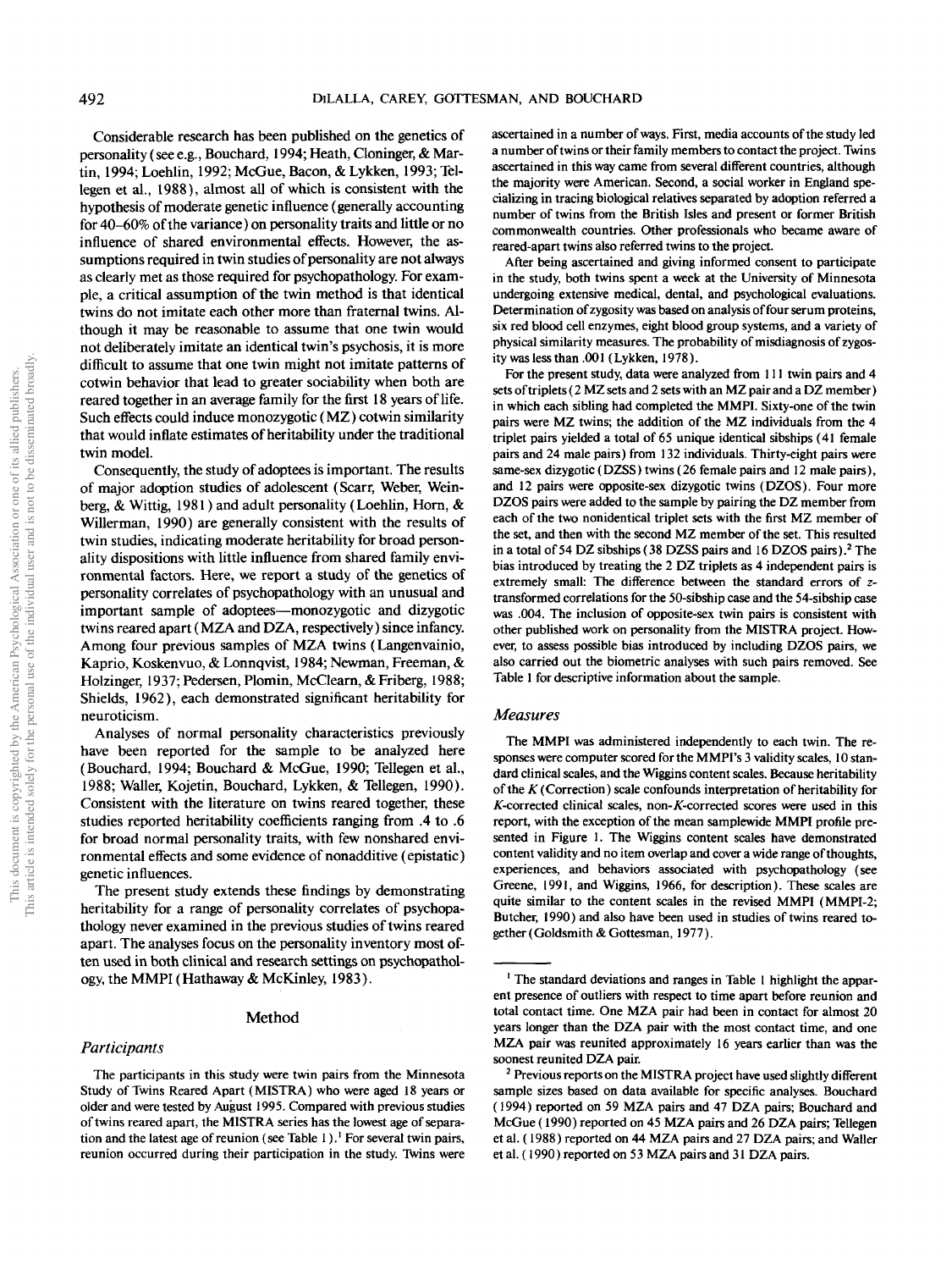Considerable research has been published on the genetics of personality (see e.g., Bouchard, 1994; Heath, Cloninger, & Martin, 1994; Loehlin, 1992; McGue, Bacon, & Lykken, 1993; Tellegen et al., 1988), almost all of which is consistent with the hypothesis of moderate genetic influence (generally accounting for 40-60% of the variance) on personality traits and little or no influence of shared environmental effects. However, the assumptions required in twin studies of personality are not always as clearly met as those required for psychopathology. For example, a critical assumption of the twin method is that identical twins do not imitate each other more than fraternal twins. Although it may be reasonable to assume that one twin would not deliberately imitate an identical twin's psychosis, it is more difficult to assume that one twin might not imitate patterns of cotwin behavior that lead to greater sociability when both are reared together in an average family for the first 18 years of life. Such effects could induce monozygotic (MZ) cotwin similarity that would inflate estimates of heritability under the traditional twin model.

Consequently, the study of adoptees is important. The results of major adoption studies of adolescent (Scarr, Weber, Weinberg, & Wittig, 1981) and adult personality (Loehlin, Horn, & Willerman, 1990) are generally consistent with the results of twin studies, indicating moderate heritability for broad personality dispositions with little influence from shared family environmental factors. Here, we report a study of the genetics of personality correlates of psychopathology with an unusual and important sample of adoptees—monozygotic and dizygotic twins reared apart (MZA and DZA, respectively) since infancy. Among four previous samples of MZA twins (Langenvainio, Kaprio, Koskenvuo, & Lonnqvist, 1984; Newman, Freeman, & Holzinger, 1937; Pedersen, Plomin, McClearn, & Friberg, 1988; Shields, 1962), each demonstrated significant heritability for neuroticism.

Analyses of normal personality characteristics previously have been reported for the sample to be analyzed here (Bouchard, 1994; Bouchard & McGue, 1990; Tellegen et al., 1988; Waller, Kojetin, Bouchard, Lykken, & Tellegen, 1990). Consistent with the literature on twins reared together, these studies reported heritability coefficients ranging from .4 to .6 for broad normal personality traits, with few nonshared environmental effects and some evidence of nonadditive (epistatic) genetic influences.

The present study extends these findings by demonstrating heritability for a range of personality correlates of psychopathology never examined in the previous studies of twins reared apart. The analyses focus on the personality inventory most often used in both clinical and research settings on psychopathology, the MMPI (Hathaway & McKinley, 1983).

#### Method

#### *Participants*

ascertained in a number of ways. First, media accounts of the study led a number of twins or their family members to contact the project. Twins ascertained in this way came from several different countries, although the majority were American. Second, a social worker in England specializing in tracing biological relatives separated by adoption referred a number of twins from the British Isles and present or former British commonwealth countries. Other professionals who became aware of reared-apart twins also referred twins to the project.

After being ascertained and giving informed consent to participate in the study, both twins spent a week at the University of Minnesota undergoing extensive medical, dental, and psychological evaluations. Determination of zygosity was based on analysis of four serum proteins, six red blood cell enzymes, eight blood group systems, and a variety of physical similarity measures. The probability of misdiagnosis of zygosity was less than .001 (Lykken, 1978).

For the present study, data were analyzed from 111 twin pairs and 4 sets of triplets (2 MZ sets and 2 sets with an MZ pair and a DZ member) in which each sibling had completed the MMPI. Sixty-one of the twin pairs were MZ twins; the addition of the MZ individuals from the 4 triplet pairs yielded a total of 65 unique identical sibships (41 female pairs and 24 male pairs) from 132 individuals. Thirty-eight pairs were same-sex dizygotic (DZSS) twins (26 female pairs and 12 male pairs), and 12 pairs were opposite-sex dizygotic twins (DZOS). Four more DZOS pairs were added to the sample by pairing the DZ member from each of the two nonidentical triplet sets with the first MZ member of the set, and then with the second MZ member of the set. This resulted in a total of 54 DZ sibships (38 DZSS pairs and 16 DZOS pairs).<sup>2</sup> The bias introduced by treating the 2 DZ triplets as 4 independent pairs is extremely small: The difference between the standard errors of ztransformed correlations for the 50-sibship case and the 54-sibship case was .004. The inclusion of opposite-sex twin pairs is consistent with other published work on personality from the MISTRA project. However, to assess possible bias introduced by including DZOS pairs, we also carried out the biometric analyses with such pairs removed. See Table 1 for descriptive information about the sample.

#### *Measures*

The MMPI was administered independently to each twin. The responses were computer scored for the MMPI's 3 validity scales, 10 standard clinical scales, and the Wiggins content scales. Because heritability of the  $K$  (Correction) scale confounds interpretation of heritability for  $K$ -corrected clinical scales, non- $K$ -corrected scores were used in this report, with the exception of the mean samplewide MMPI profile presented in Figure 1. The Wiggins content scales have demonstrated content validity and no item overlap and cover a wide range of thoughts, experiences, and behaviors associated with psychopathology (see Greene, 1991, and Wiggins, 1966, for description). These scales are quite similar to the content scales in the revised MMPI (MMPI-2; Butcher, 1990) and also have been used in studies of twins reared together (Goldsmith & Gottesman, 1977).

The participants in this study were twin pairs from the Minnesota Study of Twins Reared Apart (MISTRA) who were aged 18 years or older and were tested by August 1995. Compared with previous studies of twins reared apart, the MISTRA series has the lowest age of separation and the latest age of reunion (see Table 1).<sup>1</sup> For several twin pairs, reunion occurred during their participation in the study. Twins were

<sup>&</sup>lt;sup>1</sup> The standard deviations and ranges in Table 1 highlight the apparent presence of outliers with respect to time apart before reunion and total contact time. One MZA pair had been in contact for almost 20 years longer than the DZA pair with the most contact time, and one MZA pair was reunited approximately 16 years earlier than was the soonest reunited DZA pair.

<sup>&</sup>lt;sup>2</sup> Previous reports on the MISTRA project have used slightly different sample sizes based on data available for specific analyses. Bouchard (1994) reported on 59 MZA pairs and 47 DZA pairs; Bouchard and McGue (1990) reported on 45 MZA pairs and 26 DZA pairs; Tellegen et al. (1988) reported on 44 MZA pairs and 27 DZA pairs; and Waller et al. (1990) reported on 53 MZA pairs and 31 DZA pairs.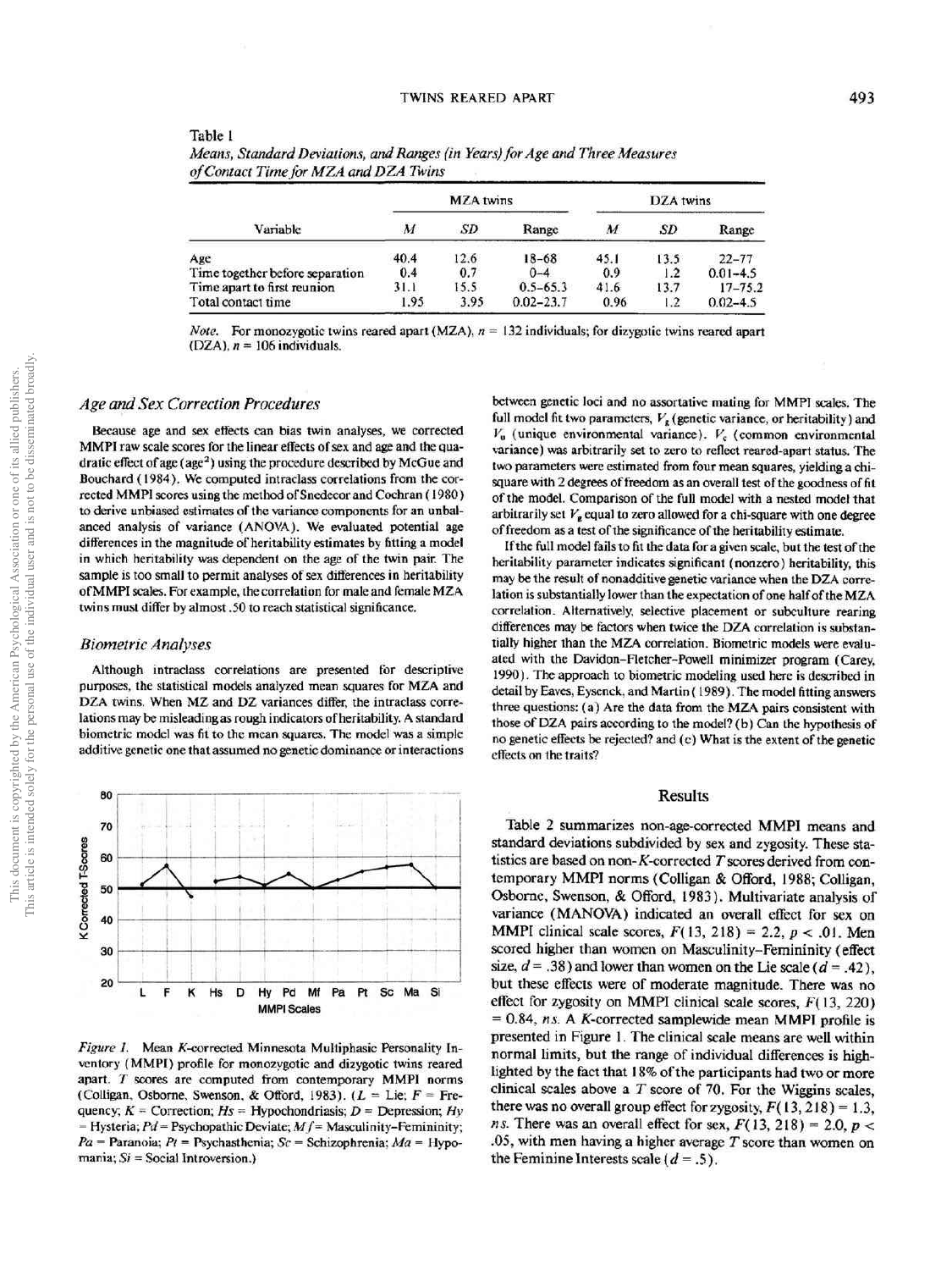|                                 | <b>MZA</b> twins |      |               | DZA twins |           |              |
|---------------------------------|------------------|------|---------------|-----------|-----------|--------------|
| Variable                        | $\boldsymbol{M}$ | SD   | Range         | M         | <b>SD</b> | Range        |
| Age                             | 40.4             | 12.6 | $18 - 68$     | 45.1      | 13.5      | $22 - 77$    |
| Time together before separation | 0.4              | 0.7  | $0 - 4$       | 0.9       | 1.2       | $0.01 - 4.5$ |
| Time apart to first reunion     | 31.1             | 15.5 | $0.5 - 65.3$  | 41.6      | 13.7      | $17 - 75.2$  |
| Total contact time              | 1.95             | 3.95 | $0.02 - 23.7$ | 0.96      | 1.2.      | $0.02 - 4.5$ |

*Means, Standard Deviations, and Ranges (in Years) for Age and Three Measures of Contact Time for MZA and DZA Twins*

*Note.* For monozygotic twins reared apart (MZA),  $n = 132$  individuals; for dizygotic twins reared apart  $(DZA)$ ,  $n=106$  individuals.

#### *Age and Sex Correction Procedures*

Because age and sex effects can bias twin analyses, we corrected MMPI raw scale scores for the linear effects of sex and age and the quadratic effect of age (age<sup>2</sup>) using the procedure described by McGue and Bouchard (1984). We computed intraclass correlations from the corrected MMPI scores using the method of Snedecor and Cochran (1980) to derive unbiased estimates of the variance components for an unbalanced analysis of variance (ANOVA). We evaluated potential age differences in the magnitude of heritability estimates by fitting a model in which heritability was dependent on the age of the twin pair. The sample is too small to permit analyses of sex differences in heritability of MMPI scales. For example, the correlation for male and female MZA twins must differ by almost .50 to reach statistical significance.

#### *Biometric Analyses*

Although intraclass correlations are presented for descriptive purposes, the statistical models analyzed mean squares for MZA and DZA twins. When MZ and DZ variances differ, the intraclass correlations may be misleading as rough indicators of heritability. A standard biometric model was fit to the mean squares. The model was a simple additive genetic one that assumed no genetic dominance or interactions



*Figure 1.* Mean K-corrected Minnesota Multiphasic Personality Inventory (MMPI) profile for monozygotic and dizygotic twins reared apart. *T* scores are computed from contemporary MMPI norms (Colligan, Osborne, Swenson, & Ofibrd, 1983). *(L* = Lie; *F =* Frequency; *K =* Correction; *Hs -* Hypochondriasis; *D =* Depression; *Hy =* Hysteria; *Pd=* Psychopathic Deviate; *Aff=* Masculinity-Femininity; *Pa =* Paranoia; *Pt* = Psychasthenia; *Sc =* Schizophrenia: *Ma =* Hypomania; *Si =* Social Introversion.)

between genetic loci and no assortative mating for MMP1 scales. The full model fit two parameters,  $V_g$  (genetic variance, or heritability) and *Vv* (unique environmental variance). *V<sup>s</sup>* (common environmental variance) was arbitrarily set to zero to reflect reared-apart status. The two parameters were estimated from four mean squares, yielding a chisquare with 2 degrees of freedom as an overall test of the goodness of fit of the model. Comparison of the full model with a nested model that arbitrarily set  $V_{\epsilon}$  equal to zero allowed for a chi-square with one degree of freedom as a test of the significance of the heritability estimate.

If the full model fails to fit the data fora given scale, but the test of the heritability parameter indicates significant (nonzero) heritability, this may be the result of nonadditive genetic variance when the DZA correlation is substantially lower than the expectation of one half of the MZA correlation. Alternatively, selective placement or subculture rearing differences may be factors when twice the DZA correlation is substantially higher than the MZA correlation. Biometric models were evaluated with the Davidon-Fletcher-Powell minimizer program (Carey, 1990). The approach to biometric modeling used here is described in detail by Eaves, Eysenck, and Martin (1989). The model fitting answers three questions: (a) Are the data from the MZA pairs consistent with those of DZA pairs according to the model? (b) Can the hypothesis of no genetic effects be rejected? and (c) What is the extent of the genetic effects on the traits?

#### Results

Table 2 summarizes non-age-corrected MMPI means and standard deviations subdivided by sex and zygosity. These statistics are based on non-K-corrected T scores derived from contemporary MMPI norms (Colligan & Offord, 1988; Colligan, Osborne, Swenson, & Offord, 1983). Multivariate analysis of variance (MANOVA) indicated an overall effect for sex on MMPI clinical scale scores, F(13, 218) = 2.2, *p <* .01. Men scored higher than women on Masculinity-Femininity (effect size,  $d = .38$ ) and lower than women on the Lie scale  $(d = .42)$ , but these effects were of moderate magnitude. There was no effect for zygosity on MMPI clinical scale scores, *F(* 13, 220) = 0.84, *ns.* A A-corrected samplewide mean MMPI profile is presented in Figure 1. The clinical scale means are well within normal limits, but the range of individual differences is highlighted by the fact that 18% of the participants had two or more clinical scales above a *T* score of 70. For the Wiggins scales, there was no overall group effect for zygosity,  $F(13,218) = 1.3$ , *ns.* There was an overall effect for sex,  $F(13, 218) = 2.0$ ,  $p <$ .05, with men having a higher average *T* score than women on the Feminine Interests scale *(d =* .5).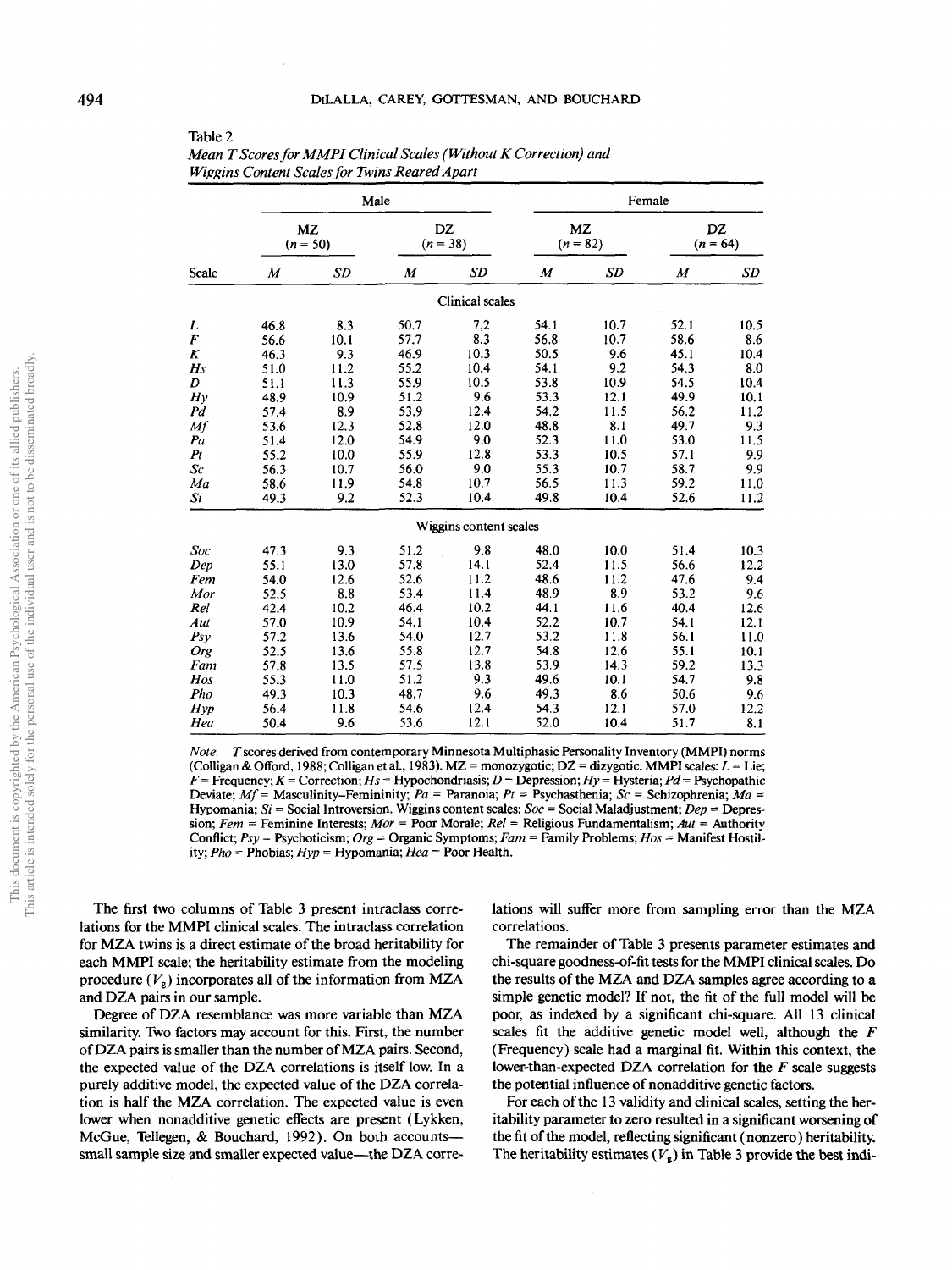Table 2

|                |                         | Male |                  |                        |                  | Female    |                  |           |  |  |
|----------------|-------------------------|------|------------------|------------------------|------------------|-----------|------------------|-----------|--|--|
|                | <b>MZ</b><br>$(n = 50)$ |      | DZ<br>$(n = 38)$ |                        | MZ<br>$(n = 82)$ |           | DZ<br>$(n = 64)$ |           |  |  |
| Scale          | M                       | SD   | M                | <b>SD</b>              | $\boldsymbol{M}$ | <b>SD</b> | $\boldsymbol{M}$ | <b>SD</b> |  |  |
|                |                         |      |                  | Clinical scales        |                  |           |                  |           |  |  |
| L              | 46.8                    | 8.3  | 50.7             | 7.2                    | 54.1             | 10.7      | 52.1             | 10.5      |  |  |
| F              | 56.6                    | 10.1 | 57.7             | 8.3                    | 56.8             | 10.7      | 58.6             | 8.6       |  |  |
| K              | 46.3                    | 9.3  | 46.9             | 10.3                   | 50.5             | 9.6       | 45.1             | 10.4      |  |  |
| Hs             | 51.0                    | 11.2 | 55.2             | 10.4                   | 54.1             | 9.2       | 54.3             | 8.0       |  |  |
| D              | 51.1                    | 11.3 | 55.9             | 10.5                   | 53.8             | 10.9      | 54.5             | 10.4      |  |  |
| Hy             | 48.9                    | 10.9 | 51.2             | 9.6                    | 53.3             | 12.1      | 49.9             | 10.1      |  |  |
| P <sub>d</sub> | 57.4                    | 8.9  | 53.9             | 12.4                   | 54.2             | 11.5      | 56.2             | 11.2      |  |  |
| Mf             | 53.6                    | 12.3 | 52.8             | 12.0                   | 48.8             | 8.1       | 49.7             | 9.3       |  |  |
| Pa             | 51.4                    | 12.0 | 54.9             | 9.0                    | 52.3             | 11.0      | 53.0             | 11.5      |  |  |
| Pt             | 55.2                    | 10.0 | 55.9             | 12.8                   | 53.3             | 10.5      | 57.1             | 9.9       |  |  |
| Sc             | 56.3                    | 10.7 | 56.0             | 9.0                    | 55.3             | 10.7      | 58.7             | 9.9       |  |  |
| Ma             | 58.6                    | 11.9 | 54.8             | 10.7                   | 56.5             | 11.3      | 59.2             | 11.0      |  |  |
| Si             | 49.3                    | 9.2  | 52.3             | 10.4                   | 49.8             | 10.4      | 52.6             | 11.2      |  |  |
|                |                         |      |                  | Wiggins content scales |                  |           |                  |           |  |  |
| Soc            | 47.3                    | 9.3  | 51.2             | 9.8                    | 48.0             | 10.0      | 51.4             | 10.3      |  |  |
| Dep            | 55.1                    | 13.0 | 57.8             | 14.1                   | 52.4             | 11.5      | 56.6             | 12.2      |  |  |
| Fem            | 54.0                    | 12.6 | 52.6             | 11.2                   | 48.6             | 11.2      | 47.6             | 9.4       |  |  |
| Mor            | 52.5                    | 8.8  | 53.4             | 11.4                   | 48.9             | 8.9       | 53.2             | 9.6       |  |  |
| Rel            | 42.4                    | 10.2 | 46.4             | 10.2                   | 44.1             | 11.6      | 40.4             | 12.6      |  |  |
| Aut            | 57.0                    | 10.9 | 54.1             | 10.4                   | 52.2             | 10.7      | 54.1             | 12.1      |  |  |
| Psv            | 57.2                    | 13.6 | 54.0             | 12.7                   | 53.2             | 11.8      | 56.1             | 11.0      |  |  |
| Org            | 52.5                    | 13.6 | 55.8             | 12.7                   | 54.8             | 12.6      | 55.1             | 10.1      |  |  |
| Fam            | 57.8                    | 13.5 | 57.5             | 13.8                   | 53.9             | 14.3      | 59.2             | 13.3      |  |  |
| Hos            | 55.3                    | 11.0 | 51.2             | 9.3                    | 49.6             | 10.1      | 54.7             | 9.8       |  |  |
| Pho            | 49.3                    | 10.3 | 48.7             | 9.6                    | 49.3             | 8.6       | 50.6             | 9.6       |  |  |
| Hyp            | 56.4                    | 11.8 | 54.6             | 12.4                   | 54.3             | 12.1      | 57.0             | 12.2      |  |  |
| Hea            | 50.4                    | 9.6  | 53.6             | 12.1                   | 52.0             | 10.4      | 51.7             | 8.1       |  |  |

*Mean T Scores for MMPI Clinical Scales (Without K Correction) and Wiggins Content Scales for Twins Reared Apart*

*Note. T* scores derived from contemporary Minnesota Multiphasic Personality Inventory (MMPI) norms (Colligan & Offord, 1988; Colligan et al., 1983). MZ = monozygotic; DZ = dizygotic. MMPI scales: *L =* Lie;  $F =$  Frequency;  $K =$  Correction;  $Hs =$  Hypochondriasis;  $D =$  Depression;  $Hy =$  Hysteria;  $Pd =$  Psychopathic Deviate; *Mf=* Masculinity-Femininity; *Pa =* Paranoia; *Pt =* Psychasthenia; *Sc =* Schizophrenia; *Ma* = Hypomania; *Si =* Social Introversion. Wiggins content scales: *Soc =* Social Maladjustment; *Dep* = Depression; *Fern =* Feminine Interests; *Mor* = Poor Morale; *Rel* = Religious Fundamentalism; *Aut* = Authority Conflict; *Psy =* Psychoticism; *Org =* Organic Symptoms; *Fam =* Family Problems; *Has* = Manifest Hostility; *Pho =* Phobias; *Hyp* = Hypomania; *Hea* = Poor Health.

The first two columns of Table 3 present intraclass correlations for the MMPI clinical scales. The intraclass correlation for MZA twins is a direct estimate of the broad heritability for each MMPI scale; the heritability estimate from the modeling procedure  $(V_{\rm g})$  incorporates all of the information from MZA and DZA pairs in our sample.

Degree of DZA resemblance was more variable than MZA similarity. Two factors may account for this. First, the number of DZA pairs is smaller than the number of MZA pairs. Second, the expected value of the DZA correlations is itself low. In a purely additive model, the expected value of the DZA correlation is half the MZA correlation. The expected value is even lower when nonadditive genetic effects are present (Lykken, McGue, Tellegen, & Bouchard, 1992). On both accounts small sample size and smaller expected value—the DZA correlations will suffer more from sampling error than the MZA correlations.

The remainder of Table 3 presents parameter estimates and chi-square goodness-of-fit tests for the MMPI clinical scales. Do the results of the MZA and DZA samples agree according to a simple genetic model? If not, the fit of the full model will be poor, as indexed by a significant chi-square. All 13 clinical scales fit the additive genetic model well, although the *F* (Frequency) scale had a marginal fit. Within this context, the lower-than-expected DZA correlation for the *F* scale suggests the potential influence of nonadditive genetic factors.

For each of the 13 validity and clinical scales, setting the heritability parameter to zero resulted in a significant worsening of the fit of the model, reflecting significant (nonzero) heritability. The heritability estimates  $(V_g)$  in Table 3 provide the best indi-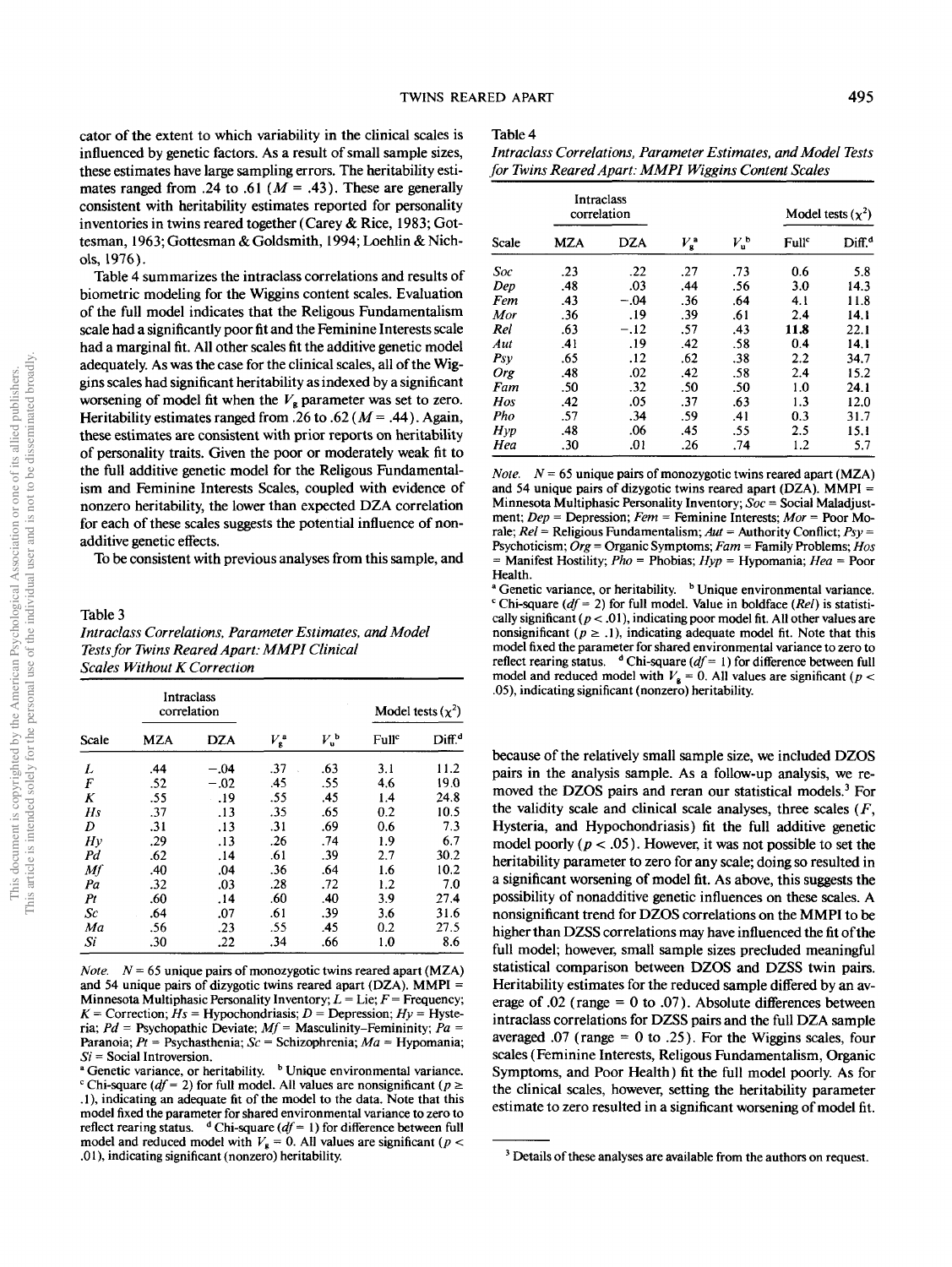cator of the extent to which variability in the clinical scales is influenced by genetic factors. As a result of small sample sizes, these estimates have large sampling errors. The heritability estimates ranged from .24 to .61 ( $M = .43$ ). These are generally consistent with heritability estimates reported for personality inventories in twins reared together (Carey & Rice, 1983; Gottesman, 1963; Gottesman& Goldsmith, 1994; Loehlin& Nichols, 1976).

Table 4 summarizes the intraclass correlations and results of biometric modeling for the Wiggins content scales. Evaluation of the full model indicates that the Religous Fundamentalism scale had a significantly poor fit and the Feminine Interests scale had a marginal fit. All other scales fit the additive genetic model adequately. As was the case for the clinical scales, all of the Wiggins scales had significant heritability as indexed by a significant worsening of model fit when the  $V_g$  parameter was set to zero. Heritability estimates ranged from .26 to .62 (*M =* .44). Again, these estimates are consistent with prior reports on heritability of personality traits. Given the poor or moderately weak fit to the full additive genetic model for the Religous Fundamentalism and Feminine Interests Scales, coupled with evidence of nonzero heritability, the lower than expected DZA correlation for each of these scales suggests the potential influence of nonadditive genetic effects.

To be consistent with previous analyses from this sample, and

#### Table 3

*Intraclass Correlations, Parameter Estimates, and Model Tests for Twins Reared Apart: MM PI Clinical Scales Without K Correction*

|                |            | Intraclass<br>correlation |                     |                     | Model tests $(\chi^2)$ |                   |
|----------------|------------|---------------------------|---------------------|---------------------|------------------------|-------------------|
| Scale          | <b>MZA</b> | <b>DZA</b>                | $V_{\rm g}^{\rm a}$ | $V_{\rm u}^{\rm b}$ | Full <sup>c</sup>      | Diff <sup>d</sup> |
| L              | .44        | $-.04$                    | .37                 | .63                 | 3.1                    | 11.2              |
| F              | .52        | $-.02$                    | .45                 | .55                 | 4.6                    | 19.0              |
| K              | .55        | .19                       | .55                 | .45                 | 1.4                    | 24.8              |
| Hs             | .37        | .13                       | .35                 | .65                 | 0.2                    | 10.5              |
| D              | .31        | .13                       | .31                 | .69                 | 0.6                    | 7.3               |
| Hv             | .29        | .13                       | .26                 | .74                 | 1.9                    | 6.7               |
| Pd             | .62        | .14                       | .61                 | .39                 | 2.7                    | 30.2              |
| Mf             | .40        | .04                       | .36                 | .64                 | 1.6                    | 10.2              |
| Pa             | .32        | .03                       | .28                 | .72                 | 1.2                    | 7.0               |
| P <sub>t</sub> | .60        | .14                       | .60                 | .40                 | 3.9                    | 27.4              |
| Sc             | .64        | .07                       | .61                 | .39                 | 3.6                    | 31.6              |
| Ma             | .56        | .23                       | .55                 | .45                 | 0.2                    | 27.5              |
| Si             | .30        | .22                       | .34                 | .66                 | 1.0                    | 8.6               |

*Note.*  $N = 65$  unique pairs of monozygotic twins reared apart (MZA) and 54 unique pairs of dizygotic twins reared apart (DZA). MMPI = Minnesota Multiphasic Personality Inventory; *L =* Lie; *F =* Frequency;  $K =$  Correction;  $Hs =$  Hypochondriasis;  $D =$  Depression;  $Hy =$  Hysteria; *Pd =* Psychopathic Deviate; *Mf =* Masculinity-Femininity; *Pa =* Paranoia; *Pt* = Psychasthenia; *Sc =* Schizophrenia; *Ma* = Hypomania; *Si =* Social Introversion.

<sup>a</sup> Genetic variance, or heritability. <sup>b</sup> Unique environmental variance. <sup>c</sup> Chi-square ( $df = 2$ ) for full model. All values are nonsignificant ( $p \ge$ .1), indicating an adequate fit of the model to the data. Note that this model fixed the parameter for shared environmental variance to zero to reflect rearing status. <sup>d</sup> Chi-square *(df=* 1) for difference between full model and reduced model with  $V_g = 0$ . All values are significant ( $p <$ .01), indicating significant (nonzero) heritability.

#### Table 4

*Intraclass Correlations, Parameter Estimates, and Model Tests for Twins Reared Apart: MMPI Wiggins Content Scales*

| Scale | Intraclass<br>correlation |            |                     |                     | Model tests $(\chi^2)$ |                |
|-------|---------------------------|------------|---------------------|---------------------|------------------------|----------------|
|       | MZA                       | <b>DZA</b> | $V_{\rm g}^{\rm a}$ | $V_{\rm u}^{\rm b}$ | Full <sup>c</sup>      | $\rm{Diff.}^d$ |
| Soc   | .23                       | .22        | .27                 | .73                 | 0.6                    | 5.8            |
| Dep   | .48                       | .03        | .44                 | .56                 | 3.0                    | 14.3           |
| Fem   | .43                       | $-.04$     | .36                 | .64                 | 4.1                    | 11.8           |
| Mor   | .36                       | .19        | .39                 | .61                 | 2.4                    | 14.1           |
| Rel   | .63                       | $-.12$     | .57                 | .43                 | 11.8                   | 22.1           |
| Aut   | .41                       | .19        | .42                 | .58                 | 0.4                    | 14.1           |
| Ps    | .65                       | .12        | .62                 | .38                 | 2.2                    | 34.7           |
| Org   | .48                       | .02        | .42                 | .58                 | 2.4                    | 15.2           |
| Fam   | .50                       | .32        | .50                 | .50                 | 1.0                    | 24.1           |
| Hos   | .42                       | .05        | .37                 | .63                 | 1.3                    | 12.0           |
| Pho   | .57                       | .34        | .59                 | .41                 | 0.3                    | 31.7           |
| Hyp   | .48                       | .06        | .45                 | .55                 | 2.5                    | 15.1           |
| Hea   | .30                       | .01        | .26                 | .74                 | 1.2                    | 5.7            |

*Note.*  $N = 65$  unique pairs of monozygotic twins reared apart (MZA) and 54 unique pairs of dizygotic twins reared apart (DZA). MMPI = Minnesota Multiphasic Personality Inventory; *Soc* = Social Maladjustment; *Dep =* Depression; *Fern =* Feminine Interests; *Mor* = Poor Morale; *Rel* = Religious Fundamentalism; *Aut =* Authority Conflict; *Psy -* Psychoticism; *Org* = Organic Symptoms; *Fam =* Family Problems; *Hos =* Manifest Hostility; *Pho* = Phobias; *Hyp* = Hypomania; *Hea* = Poor **Health** 

<sup>a</sup> Genetic variance, or heritability. <sup>b</sup> Unique environmental variance. <sup>c</sup> Chi-square ( $df = 2$ ) for full model. Value in boldface (*Rel*) is statistically significant *(p <* .01), indicating poor model fit. All other values are nonsignificant ( $p \ge 1$ ), indicating adequate model fit. Note that this model fixed the parameter for shared environmental variance to zero to reflect rearing status. <sup>d</sup> Chi-square *(df=* 1) for difference between full model and reduced model with  $V_g = 0$ . All values are significant ( $p <$ .05), indicating significant (nonzero) heritability.

because of the relatively small sample size, we included DZOS pairs in the analysis sample. As a follow-up analysis, we removed the DZOS pairs and reran our statistical models.<sup>3</sup> For the validity scale and clinical scale analyses, three scales *(F,* Hysteria, and Hypochondriasis) fit the full additive genetic model poorly *(p <* .05). However, it was not possible to set the heritability parameter to zero for any scale; doing so resulted in a significant worsening of model fit. As above, this suggests the possibility of nonadditive genetic influences on these scales. A nonsignificant trend for DZOS correlations on the MMPI to be higher than DZSS correlations may have influenced the fit of the full model; however, small sample sizes precluded meaningful statistical comparison between DZOS and DZSS twin pairs. Heritability estimates for the reduced sample differed by an average of .02 (range  $= 0$  to .07). Absolute differences between intraclass correlations for DZSS pairs and the full DZA sample averaged .07 (range =  $0$  to .25). For the Wiggins scales, four scales (Feminine Interests, Religous Fundamentalism, Organic Symptoms, and Poor Health) fit the full model poorly. As for the clinical scales, however, setting the heritability parameter estimate to zero resulted in a significant worsening of model fit.

<sup>&</sup>lt;sup>3</sup> Details of these analyses are available from the authors on request.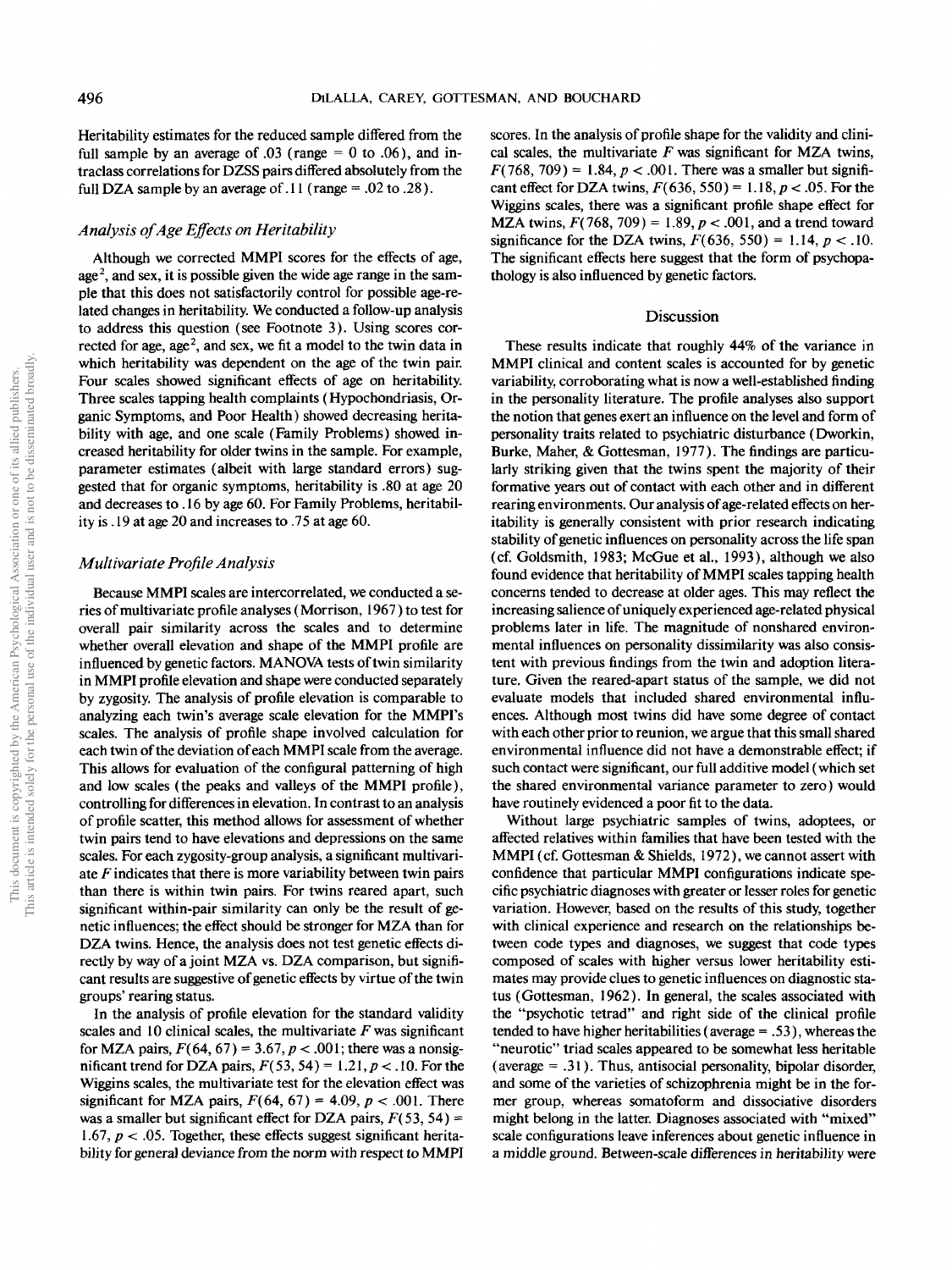Heritability estimates for the reduced sample differed from the full sample by an average of  $.03$  (range = 0 to  $.06$ ), and intraclass correlations for DZSS pairs differed absolutely from the full DZA sample by an average of. 11 (range = .02 to .28).

# *Analysis of Age Effects on Heritability*

Although we corrected MMPI scores for the effects of age, age<sup>2</sup>, and sex, it is possible given the wide age range in the sample that this does not satisfactorily control for possible age-related changes in heritability. We conducted a follow-up analysis to address this question (see Footnote 3). Using scores corrected for age, age<sup>2</sup>, and sex, we fit a model to the twin data in which heritability was dependent on the age of the twin pair. Four scales showed significant effects of age on heritability. Three scales tapping health complaints (Hypochondriasis, Organic Symptoms, and Poor Health) showed decreasing heritability with age, and one scale (Family Problems) showed increased heritability for older twins in the sample. For example, parameter estimates (albeit with large standard errors) suggested that for organic symptoms, heritability is .80 at age 20 and decreases to . 16 by age 60. For Family Problems, heritability is. 19 at age 20 and increases to .75 at age 60.

## *Multivariate Profile Analysis*

Because MMPI scales are intercorrelated, we conducted a series of multivariate profile analyses (Morrison, 1967) to test for overall pair similarity across the scales and to determine whether overall elevation and shape of the MMPI profile are influenced by genetic factors. MANOVA tests of twin similarity in MMPI profile elevation and shape were conducted separately by zygosity. The analysis of profile elevation is comparable to analyzing each twin's average scale elevation for the MMPI's scales. The analysis of profile shape involved calculation for each twin of the deviation of each MMPI scale from the average. This allows for evaluation of the configural patterning of high and low scales (the peaks and valleys of the MMPI profile), controlling for differences in elevation. In contrast to an analysis of profile scatter, this method allows for assessment of whether twin pairs tend to have elevations and depressions on the same scales. For each zygosity-group analysis, a significant multivariate *F* indicates that there is more variability between twin pairs than there is within twin pairs. For twins reared apart, such significant within-pair similarity can only be the result of genetic influences; the effect should be stronger for MZA than for DZA twins. Hence, the analysis does not test genetic effects directly by way of a joint MZA vs. DZA comparison, but significant results are suggestive of genetic effects by virtue of the twin groups' rearing status.

In the analysis of profile elevation for the standard validity scales and 10 clinical scales, the multivariate *F* was significant for MZA pairs,  $F(64, 67) = 3.67, p < .001$ ; there was a nonsignificant trend for DZA pairs,  $F(53, 54) = 1.21, p < .10$ . For the Wiggins scales, the multivariate test for the elevation effect was significant for MZA pairs,  $F(64, 67) = 4.09$ ,  $p < .001$ . There was a smaller but significant effect for DZA pairs,  $F(53, 54) =$ 1.67, *p <* .05. Together, these effects suggest significant heritability for general deviance from the norm with respect to MMPI

scores. In the analysis of profile shape for the validity and clinical scales, the multivariate  $F$  was significant for MZA twins,  $F(768, 709) = 1.84, p < .001$ . There was a smaller but significant effect for DZA twins,  $F(636, 550) = 1.18$ ,  $p < .05$ . For the Wiggins scales, there was a significant profile shape effect for MZA twins, *F(76S,* 709) = 1.89, *p <* .001, and a trend toward significance for the DZA twins, *F(636,* 550) = 1.14, *p <* .10. The significant effects here suggest that the form of psychopathology is also influenced by genetic factors.

### Discussion

These results indicate that roughly 44% of the variance in MMPI clinical and content scales is accounted for by genetic variability, corroborating what is now a well-established finding in the personality literature. The profile analyses also support the notion that genes exert an influence on the level and form of personality traits related to psychiatric disturbance (Dworkin, Burke, Maher, & Gottesman, 1977). The findings are particularly striking given that the twins spent the majority of their formative years out of contact with each other and in different rearing environments. Our analysis of age-related effects on heritability is generally consistent with prior research indicating stability of genetic influences on personality across the life span (cf. Goldsmith, 1983; McGue et al., 1993), although we also found evidence that heritability of MMPI scales tapping health concerns tended to decrease at older ages. This may reflect the increasing salience of uniquely experienced age-related physical problems later in life. The magnitude of nonshared environmental influences on personality dissimilarity was also consistent with previous findings from the twin and adoption literature. Given the reared-apart status of the sample, we did not evaluate models that included shared environmental influences. Although most twins did have some degree of contact with each other prior to reunion, we argue that this small shared environmental influence did not have a demonstrable effect; if such contact were significant, our full additive model (which set the shared environmental variance parameter to zero) would have routinely evidenced a poor fit to the data.

Without large psychiatric samples of twins, adoptees, or affected relatives within families that have been tested with the MMPI (cf. Gottesman & Shields, 1972), we cannot assert with confidence that particular MMPI configurations indicate specific psychiatric diagnoses with greater or lesser roles for genetic variation. However, based on the results of this study, together with clinical experience and research on the relationships between code types and diagnoses, we suggest that code types composed of scales with higher versus lower heritability estimates may provide clues to genetic influences on diagnostic status (Gottesman, 1962). In general, the scales associated with the "psychotic tetrad" and right side of the clinical profile tended to have higher heritabilities (average = .53), whereas the "neurotic" triad scales appeared to be somewhat less heritable (average = .31). Thus, antisocial personality, bipolar disorder, and some of the varieties of schizophrenia might be in the former group, whereas somatoform and dissociative disorders might belong in the latter. Diagnoses associated with "mixed" scale configurations leave inferences about genetic influence in a middle ground. Between-scale differences in heritability were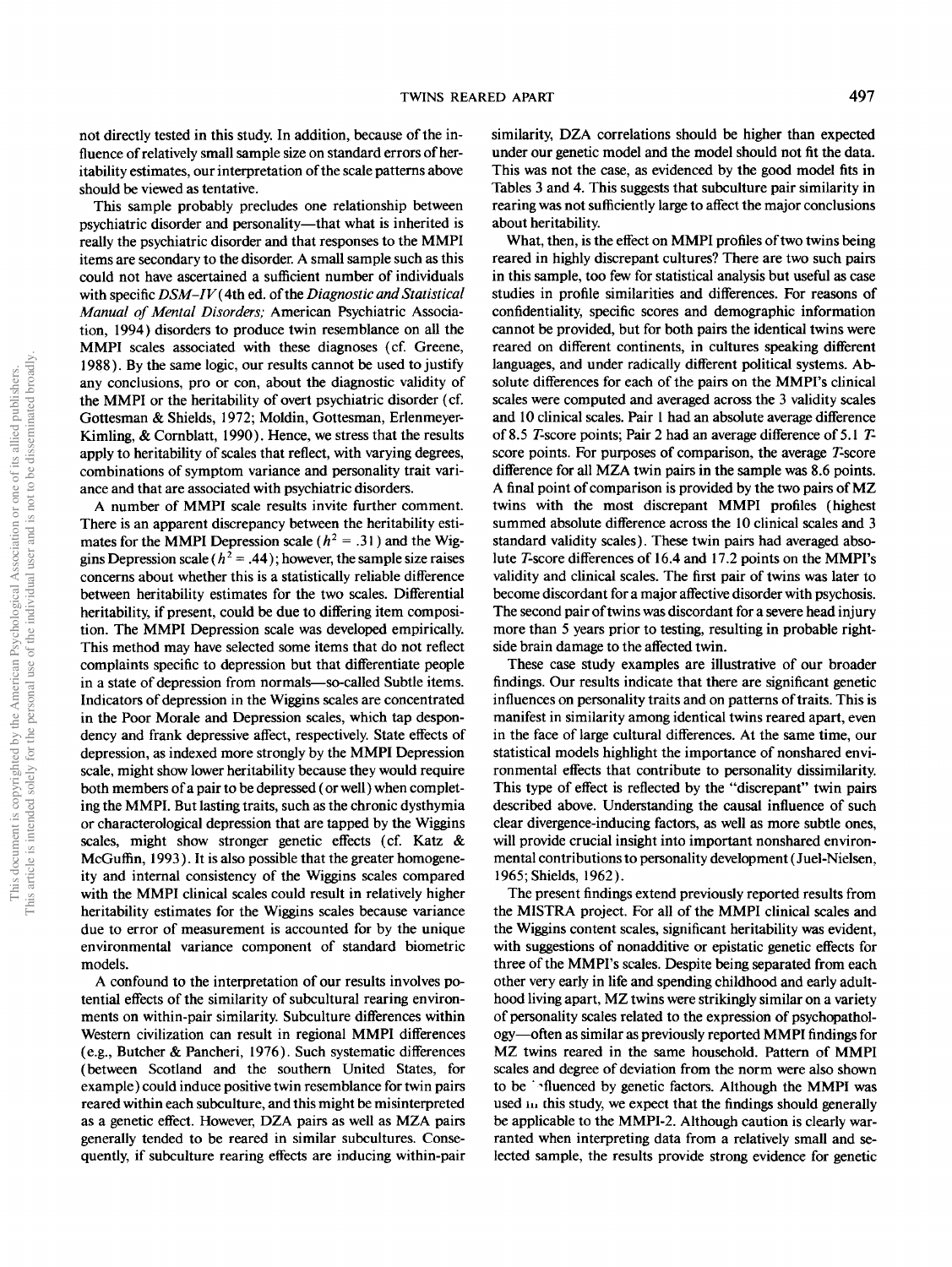not directly tested in this study. In addition, because of the influence of relatively small sample size on standard errors of heritability estimates, our interpretation of the scale patterns above should be viewed as tentative.

This sample probably precludes one relationship between psychiatric disorder and personality—that what is inherited is really the psychiatric disorder and that responses to the MMPI items are secondary to the disorder. A small sample such as this could not have ascertained a sufficient number of individuals with specific *DSM-IV(4th* ed. of the *Diagnostic and Statistical Manual of Mental Disorders;* American Psychiatric Association, 1994) disorders to produce twin resemblance on all the MMPI scales associated with these diagnoses (cf. Greene, 1988). By the same logic, our results cannot be used to justify any conclusions, pro or con, about the diagnostic validity of the MMPI or the heritability of overt psychiatric disorder (cf. Gottesman & Shields, 1972; Moldin, Gottesman, Erlenmeyer-Kimling, & Cornblatt, 1990). Hence, we stress that the results apply to heritability of scales that reflect, with varying degrees, combinations of symptom variance and personality trait variance and that are associated with psychiatric disorders.

A number of MMPI scale results invite further comment. There is an apparent discrepancy between the heritability estimates for the MMPI Depression scale ( $h^2 = .31$ ) and the Wiggins Depression scale ( $h^2 = .44$ ); however, the sample size raises concerns about whether this is a statistically reliable difference between heritability estimates for the two scales. Differential heritability, if present, could be due to differing item composition. The MMPI Depression scale was developed empirically. This method may have selected some items that do not reflect complaints specific to depression but that differentiate people in a state of depression from normals—so-called Subtle items. Indicators of depression in the Wiggins scales are concentrated in the Poor Morale and Depression scales, which tap despondency and frank depressive affect, respectively. State effects of depression, as indexed more strongly by the MMPI Depression scale, might show lower heritability because they would require both members of a pair to be depressed (or well) when completing the MMPI. But lasting traits, such as the chronic dysthymia or characterological depression that are tapped by the Wiggins scales, might show stronger genetic effects (cf. Katz & McGuffin, 1993). It is also possible that the greater homogeneity and internal consistency of the Wiggins scales compared with the MMPI clinical scales could result in relatively higher heritability estimates for the Wiggins scales because variance due to error of measurement is accounted for by the unique environmental variance component of standard biometric models.

A confound to the interpretation of our results involves potential effects of the similarity of subcultural rearing environments on within-pair similarity. Subculture differences within Western civilization can result in regional MMPI differences (e.g., Butcher & Pancheri, 1976). Such systematic differences (between Scotland and the southern United States, for example) could induce positive twin resemblance for twin pairs reared within each subculture, and this might be misinterpreted as a genetic effect. However, DZA pairs as well as MZA pairs generally tended to be reared in similar subcultures. Consequently, if subculture rearing effects are inducing within-pair similarity, DZA correlations should be higher than expected under our genetic model and the model should not fit the data. This was not the case, as evidenced by the good model fits in Tables 3 and 4. This suggests that subculture pair similarity in rearing was not sufficiently large to affect the major conclusions about heritability.

What, then, is the effect on MMPI profiles of two twins being reared in highly discrepant cultures? There are two such pairs in this sample, too few for statistical analysis but useful as case studies in profile similarities and differences. For reasons of confidentiality, specific scores and demographic information cannot be provided, but for both pairs the identical twins were reared on different continents, in cultures speaking different languages, and under radically different political systems. Absolute differences for each of the pairs on the MMPI's clinical scales were computed and averaged across the 3 validity scales and 10 clinical scales. Pair 1 had an absolute average difference of 8.5 *T-score* points; Pair 2 had an average difference of 5.1 *T*score points. For purposes of comparison, the average T-score difference for all MZA twin pairs in the sample was 8.6 points. A final point of comparison is provided by the two pairs of MZ twins with the most discrepant MMPI profiles (highest summed absolute difference across the 10 clinical scales and 3 standard validity scales). These twin pairs had averaged absolute T^score differences of 16.4 and 17.2 points on the MMPI's validity and clinical scales. The first pair of twins was later to become discordant for a major affective disorder with psychosis. The second pair of twins was discordant for a severe head injury more than 5 years prior to testing, resulting in probable rightside brain damage to the affected twin.

These case study examples are illustrative of our broader findings. Our results indicate that there are significant genetic influences on personality traits and on patterns of traits. This is manifest in similarity among identical twins reared apart, even in the face of large cultural differences. At the same time, our statistical models highlight the importance of nonshared environmental effects that contribute to personality dissimilarity. This type of effect is reflected by the "discrepant" twin pairs described above. Understanding the causal influence of such clear divergence-inducing factors, as well as more subtle ones, will provide crucial insight into important nonshared environmental contributions to personality development (Juel-Nielsen, 1965; Shields, 1962).

The present findings extend previously reported results from the MISTRA project. For all of the MMPI clinical scales and the Wiggins content scales, significant heritability was evident, with suggestions of nonadditive or epistatic genetic effects for three of the MMPI's scales. Despite being separated from each other very early in life and spending childhood and early adulthood living apart, MZ twins were strikingly similar on a variety of personality scales related to the expression of psychopathology—often as similar as previously reported MMPI findings for MZ twins reared in the same household. Pattern of MMPI scales and degree of deviation from the norm were also shown to be 'Afluenced by genetic factors. Although the MMPI was used in chis study, we expect that the findings should generally be applicable to the MMPI-2. Although caution is clearly warranted when interpreting data from a relatively small and selected sample, the results provide strong evidence for genetic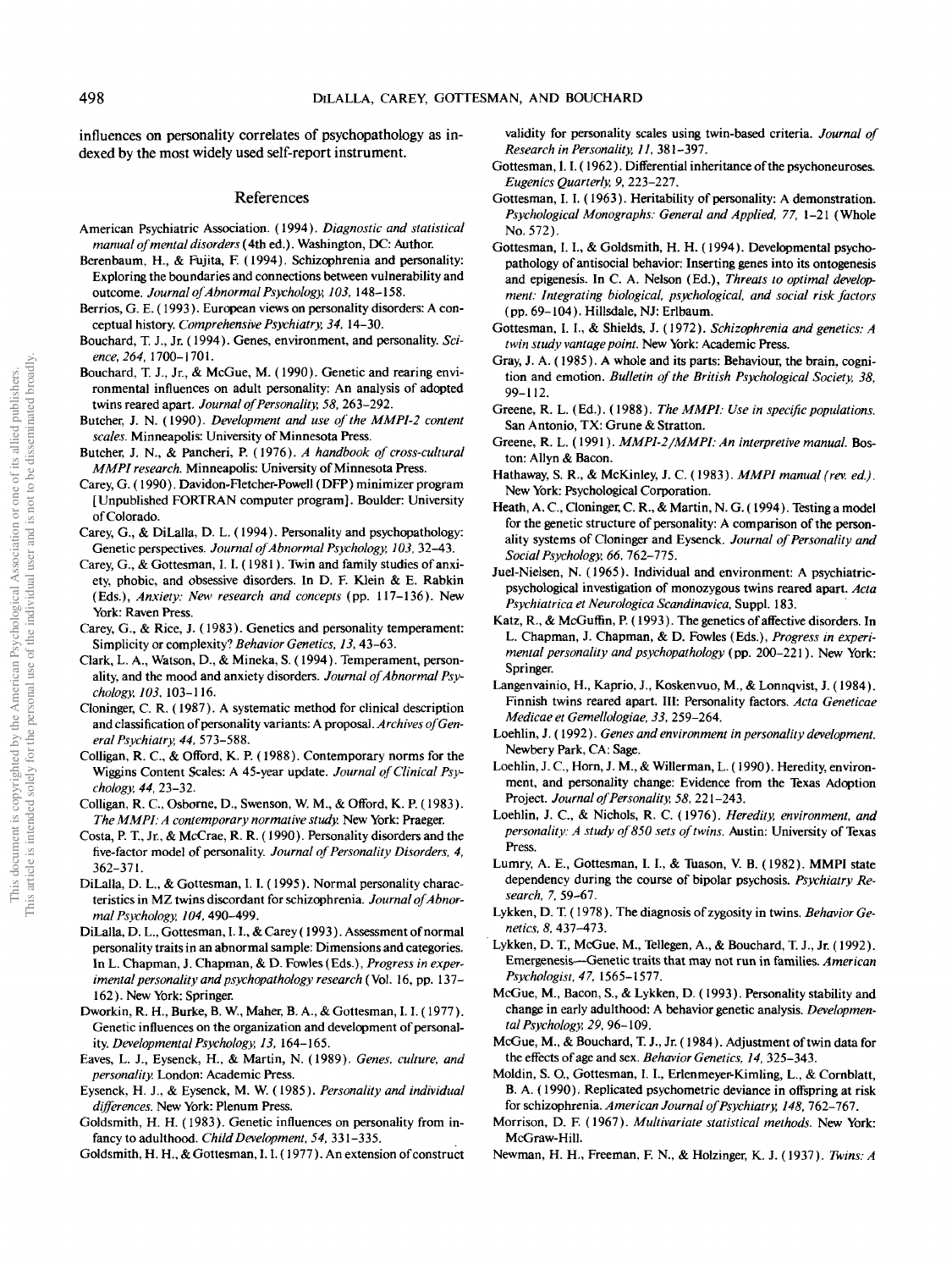influences on personality correlates of psychopathology as indexed by the most widely used self-report instrument.

#### References

- American Psychiatric Association. (1994). *Diagnostic and statistical manual of mental disorders (*4th ed.). Washington, DC: Author.
- Berenbaum, H., & Fujita, F. (1994). Schizophrenia and personality: Exploring the boundaries and connections between vulnerability and outcome. *Journal of Abnormal Psychology, 103,* 148-158.
- Berrios, G. E. (1993). European views on personality disorders: A conceptual history. *Comprehensive Psychiatry, 34,* 14-30.
- Bouchard, T. J., Jr. (1994). Genes, environment, and personality. *Science, 264,* 1700-1701.
- Bouchard, T. J., Jr., & McGue, M. (1990). Genetic and rearing environmental influences on adult personality: An analysis of adopted twins reared apart. *Journal of Personality, 58,* 263-292.
- Butcher, J. N. (1990). *Development and use of the MMPI-2 content scales.* Minneapolis: University of Minnesota Press.
- Butcher, J. N., & Pancheri, P. (1976). *A handbook of cross-cultural MMPI research.* Minneapolis: University of Minnesota Press.
- Carey, G. (1990). Davidon-Fletcher-Powell (DFP) minimizer program [Unpublished FORTRAN computer program]. Boulder: University of Colorado.
- Carey, G., & DiLalla, D. L. (1994). Personality and psychopathology: Genetic perspectives. *Journal of Abnormal Psychology, 103,* 32-43.
- Carey, G., & Gottesman, I. I. (1981). Twin and family studies of anxiety, phobic, and obsessive disorders. In D. F. Klein & E. Rabkin (Eds.), *Anxiety: New research and concepts* (pp. 117-136). New York: Raven Press.
- Carey, G., & Rice, J. (1983). Genetics and personality temperament: Simplicity or complexity? *Behavior Genetics, 13,* 43-63.
- Clark, L. A., Watson, D., & Mineka, S. (1994). Temperament, personality, and the mood and anxiety disorders. *Journal of Abnormal Psychology, 103,* 103-116.
- Cloninger, C. R. (1987). A systematic method for clinical description and classification of personality variants: A proposal. *Archives of General Psychiatry, 44,* 573-588.
- Colligan, R. C., & Offord, K. P. (1988). Contemporary norms for the Wiggins Content Scales: A 45-year update. *Journal of Clinical Psychology, 44,* 23-32.
- Colligan, R. C., Osborne, D., Swenson, W. M., & Offord, K. P. (1983). *The MMPI: A contemporary normative study.* New York: Praeger.
- Costa, P. T, Jr., & McCrae, R. R. (1990). Personality disorders and the five-factor model of personality. *Journal of Personality Disorders, 4,* 362-371.
- DiLalla, D. L., & Gottesman, I. I. (1995). Normal personality characteristics in MZ twins discordant for schizophrenia. *Journal of Abnormal Psychology, 104,* 490-499.
- DiLalla, D. L., Gottesman, 1.1., & Carey (1993). Assessment of normal personality traits in an abnormal sample: Dimensions and categories. In L. Chapman, J. Chapman, & D. Fowles (Eds.), *Progress in experimental personality and psychopathology research* (Vol. 16, pp. 137- 162). New York: Springer.
- Dworkin, R. H., Burke, B. W, Maher, B. A., & Gottesman, 1.1. (1977). Genetic influences on the organization and development of personality. *Developmental Psychology, 13,* 164-165.
- Eaves, L. J., Eysenck, H., & Martin, N. (1989). *Genes, culture, and personality.* London: Academic Press.
- Eysenck, H. J., & Eysenck, M. W. (1985). *Personality and individual differences.* New York: Plenum Press.
- Goldsmith, H. H. (1983). Genetic influences on personality from infancy to adulthood. *Child Development, 54,* 331-335.
- Goldsmith, H. H., & Gottesman, 1.1. (1977). An extension of construct

validity for personality scales using twin-based criteria. *Journal of Research in Personality, 11,* 381-397.

- Gottesman, I. I. (1962). Differential inheritance of the psychoneuroses. *Eugenics Quarterly, 9,* 223-227.
- Gottesman, I. I. (1963). Heritability of personality: A demonstration. *Psychological Monographs: General and Applied, 77,* 1-21 (Whole No. 572).
- Gottesman, 1.1., & Goldsmith, H. H. (1994). Developmental psychopathology of antisocial behavior: Inserting genes into its ontogenesis and epigenesis. In C. A. Nelson (Ed.), *Threats to optimal development: Integrating biological, psychological, and social risk factors* (pp. 69-104). Hillsdale, NJ: Erlbaum.
- Gottesman, I. I., & Shields, J. (1972). *Schizophrenia and genetics: A* twin study vantage point. New York: Academic Press.
- Gray, J. A. (1985). A whole and its parts: Behaviour, the brain, cognition and emotion. *Bulletin of the British Psychological Society, 38,* 99-112.
- Greene, R. L. (Ed.). (1988). *The MMPI: Use in specific populations.* San Antonio, TX: Grune & Stratton.
- Greene, R. L. (1991). *MMPI-2 /MMPI: An interpretive manual.* Boston: Allyn & Bacon.
- Hathaway, S. R., & McKinley, J. C. (1983). *MMPI manual (rev. ed.).* New York: Psychological Corporation.
- Heath, A. C., Cloninger, C. R., & Martin, N. G. (1994). Testing a model for the genetic structure of personality: A comparison of the personality systems of Cloninger and Eysenck. *Journal of Personality and Social Psychology, 66,* 762-775.
- Juel-Nielsen, N. (1965). Individual and environment: A psychiatricpsychological investigation of monozygous twins reared apart. *Acta Psychiatrica et Neurologica Scandinavica,* Suppl. 183.
- Katz, R., & McGuffin, P. (1993). The genetics of affective disorders. In L. Chapman, J. Chapman, & D. Fowles (Eds.), *Progress in experimental personality and psychopathology* (pp. 200-221). New York: Springer.
- Langenvainio, H., Kaprio, J., Koskenvuo, M., & Lonnqvist, J. (1984). Finnish twins reared apart. Ill: Personality factors. *Acta Geneticae Medicae et Gemellologiae, 33,* 259-264.
- Loehlin, J. (1992). *Genes and environment in personality development.* Newbery Park, CA: Sage.
- Loehlin, J. C., Horn, J. M., & Willerman, L. (1990). Heredity, environment, and personality change: Evidence from the Texas Adoption Project. *Journal of Personality, 58,* 221-243.
- Loehlin, J. C., & Nichols, R. C. (1976). *Heredity, environment, and personality: A study of 850 sets of twins.* Austin: University of Texas **Press**
- Lumry, A. E., Gottesman, I. I., & Tuason, V. B. (1982). MMPI state dependency during the course of bipolar psychosis. *Psychiatry Research, 7,* 59-67.
- Lykken, D. T. (1978). The diagnosis of zygosity in twins. *Behavior Genetics, 8,* 437-473.
- Lykken, D. T, McGue, M., Tellegen, A., & Bouchard, T. J., Jr. (1992). Emergenesis—Genetic traits that may not run in families. *American Psychologist, 47,* 1565-1577.
- McGue, M., Bacon, S., & Lykken, D. (1993). Personality stability and change in early adulthood: A behavior genetic analysis. *Developmental Psychology, 29,* 96-109.
- McGue, M., & Bouchard, T. J., Jr. (1984). Adjustment of twin data for the effects of age and sex. *Behavior Genetics, 14,* 325-343.
- Moldin, S. O., Gottesman, I. I., Erlenmeyer-Kimling, L., & Cornblatt, B. A. (1990). Replicated psychometric deviance in offspring at risk *for schizophrenia. American Journal of Psychiatry, 148,* 762-767.
- Morrison, D. F. (1967). *Multivariate statistical methods.* New York: McGraw-Hill.
- Newman, H. H,, Freeman, F. N., & Holzinger, K. J. (1937). *Twins: A*